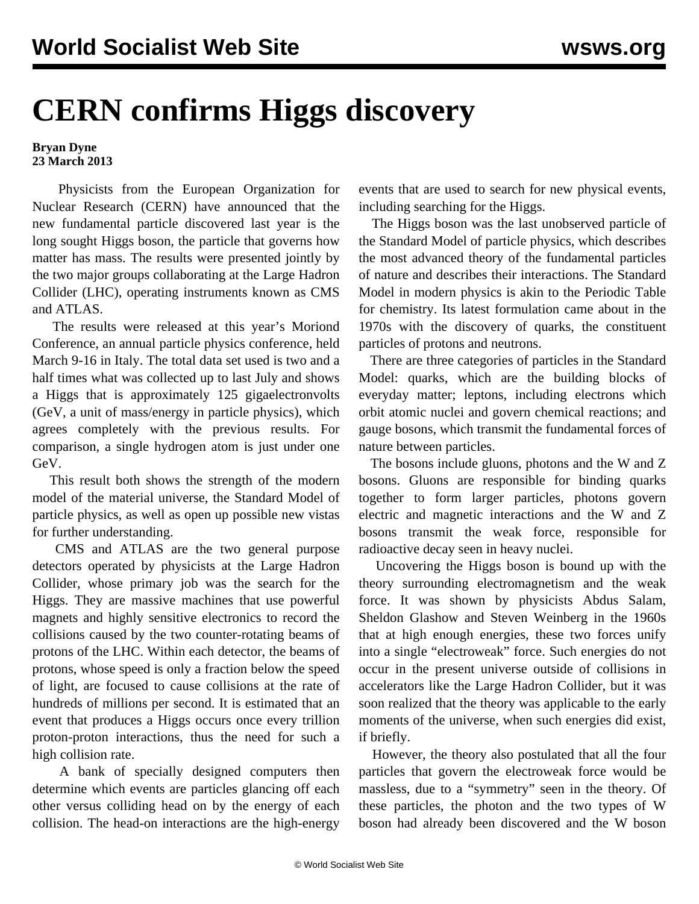## **CERN confirms Higgs discovery**

## **Bryan Dyne 23 March 2013**

 Physicists from the European Organization for Nuclear Research (CERN) have announced that the new fundamental particle discovered last year is the long sought Higgs boson, the particle that governs how matter has mass. The results were presented jointly by the two major groups collaborating at the Large Hadron Collider (LHC), operating instruments known as CMS and ATLAS.

 The results were released at this year's Moriond Conference, an annual particle physics conference, held March 9-16 in Italy. The total data set used is two and a half times what was collected up to last July and shows a Higgs that is approximately 125 gigaelectronvolts (GeV, a unit of mass/energy in particle physics), which agrees completely with the previous results. For comparison, a single hydrogen atom is just under one GeV.

 This result both shows the strength of the modern model of the material universe, the Standard Model of particle physics, as well as open up possible new vistas for further understanding.

 CMS and ATLAS are the two general purpose detectors operated by physicists at the Large Hadron Collider, whose primary job was the search for the Higgs. They are massive machines that use powerful magnets and highly sensitive electronics to record the collisions caused by the two counter-rotating beams of protons of the LHC. Within each detector, the beams of protons, whose speed is only a fraction below the speed of light, are focused to cause collisions at the rate of hundreds of millions per second. It is estimated that an event that produces a Higgs occurs once every trillion proton-proton interactions, thus the need for such a high collision rate.

 A bank of specially designed computers then determine which events are particles glancing off each other versus colliding head on by the energy of each collision. The head-on interactions are the high-energy events that are used to search for new physical events, including searching for the Higgs.

 The Higgs boson was the last unobserved particle of the Standard Model of particle physics, which describes the most advanced theory of the fundamental particles of nature and describes their interactions. The Standard Model in modern physics is akin to the Periodic Table for chemistry. Its latest formulation came about in the 1970s with the discovery of quarks, the constituent particles of protons and neutrons.

 There are three categories of particles in the Standard Model: quarks, which are the building blocks of everyday matter; leptons, including electrons which orbit atomic nuclei and govern chemical reactions; and gauge bosons, which transmit the fundamental forces of nature between particles.

 The bosons include gluons, photons and the W and Z bosons. Gluons are responsible for binding quarks together to form larger particles, photons govern electric and magnetic interactions and the W and Z bosons transmit the weak force, responsible for radioactive decay seen in heavy nuclei.

 Uncovering the Higgs boson is bound up with the theory surrounding electromagnetism and the weak force. It was shown by physicists Abdus Salam, Sheldon Glashow and Steven Weinberg in the 1960s that at high enough energies, these two forces unify into a single "electroweak" force. Such energies do not occur in the present universe outside of collisions in accelerators like the Large Hadron Collider, but it was soon realized that the theory was applicable to the early moments of the universe, when such energies did exist, if briefly.

 However, the theory also postulated that all the four particles that govern the electroweak force would be massless, due to a "symmetry" seen in the theory. Of these particles, the photon and the two types of W boson had already been discovered and the W boson